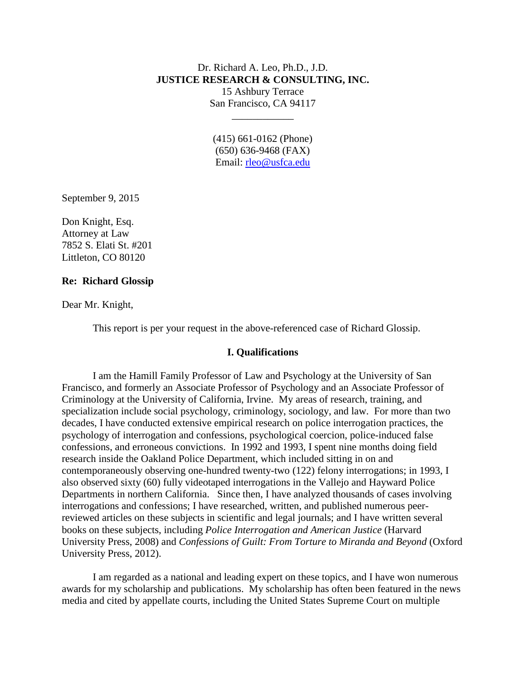# Dr. Richard A. Leo, Ph.D., J.D. **JUSTICE RESEARCH & CONSULTING, INC.** 15 Ashbury Terrace San Francisco, CA 94117

\_\_\_\_\_\_\_\_\_\_\_\_

(415) 661-0162 (Phone) (650) 636-9468 (FAX) Email: [rleo@usfca.edu](mailto:rleo@usfca.edu)

September 9, 2015

Don Knight, Esq. Attorney at Law 7852 S. Elati St. #201 Littleton, CO 80120

### **Re: Richard Glossip**

Dear Mr. Knight,

This report is per your request in the above-referenced case of Richard Glossip.

#### **I. Qualifications**

I am the Hamill Family Professor of Law and Psychology at the University of San Francisco, and formerly an Associate Professor of Psychology and an Associate Professor of Criminology at the University of California, Irvine. My areas of research, training, and specialization include social psychology, criminology, sociology, and law. For more than two decades, I have conducted extensive empirical research on police interrogation practices, the psychology of interrogation and confessions, psychological coercion, police-induced false confessions, and erroneous convictions. In 1992 and 1993, I spent nine months doing field research inside the Oakland Police Department, which included sitting in on and contemporaneously observing one-hundred twenty-two (122) felony interrogations; in 1993, I also observed sixty (60) fully videotaped interrogations in the Vallejo and Hayward Police Departments in northern California. Since then, I have analyzed thousands of cases involving interrogations and confessions; I have researched, written, and published numerous peerreviewed articles on these subjects in scientific and legal journals; and I have written several books on these subjects, including *Police Interrogation and American Justice* (Harvard University Press, 2008) and *Confessions of Guilt: From Torture to Miranda and Beyond* (Oxford University Press, 2012).

I am regarded as a national and leading expert on these topics, and I have won numerous awards for my scholarship and publications. My scholarship has often been featured in the news media and cited by appellate courts, including the United States Supreme Court on multiple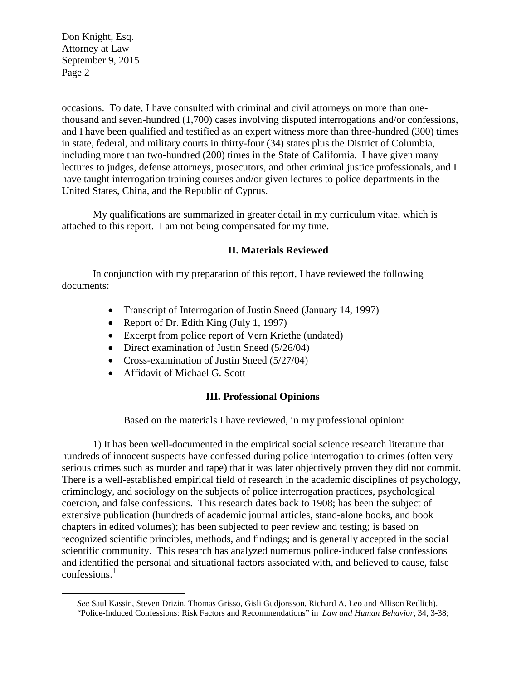occasions. To date, I have consulted with criminal and civil attorneys on more than onethousand and seven-hundred (1,700) cases involving disputed interrogations and/or confessions, and I have been qualified and testified as an expert witness more than three-hundred (300) times in state, federal, and military courts in thirty-four (34) states plus the District of Columbia, including more than two-hundred (200) times in the State of California. I have given many lectures to judges, defense attorneys, prosecutors, and other criminal justice professionals, and I have taught interrogation training courses and/or given lectures to police departments in the United States, China, and the Republic of Cyprus.

My qualifications are summarized in greater detail in my curriculum vitae, which is attached to this report. I am not being compensated for my time.

### **II. Materials Reviewed**

In conjunction with my preparation of this report, I have reviewed the following documents:

- Transcript of Interrogation of Justin Sneed (January 14, 1997)
- Report of Dr. Edith King (July 1, 1997)
- Excerpt from police report of Vern Kriethe (undated)
- Direct examination of Justin Sneed (5/26/04)
- Cross-examination of Justin Sneed (5/27/04)
- Affidavit of Michael G. Scott

# **III. Professional Opinions**

Based on the materials I have reviewed, in my professional opinion:

1) It has been well-documented in the empirical social science research literature that hundreds of innocent suspects have confessed during police interrogation to crimes (often very serious crimes such as murder and rape) that it was later objectively proven they did not commit. There is a well-established empirical field of research in the academic disciplines of psychology, criminology, and sociology on the subjects of police interrogation practices, psychological coercion, and false confessions. This research dates back to 1908; has been the subject of extensive publication (hundreds of academic journal articles, stand-alone books, and book chapters in edited volumes); has been subjected to peer review and testing; is based on recognized scientific principles, methods, and findings; and is generally accepted in the social scientific community. This research has analyzed numerous police-induced false confessions and identified the personal and situational factors associated with, and believed to cause, false confessions.<sup>[1](#page-1-0)</sup>

<span id="page-1-0"></span><sup>&</sup>lt;sup>1</sup> *See* Saul Kassin, Steven Drizin, Thomas Grisso, Gisli Gudjonsson, Richard A. Leo and Allison Redlich). "Police-Induced Confessions: Risk Factors and Recommendations" in *Law and Human Behavior*, 34, 3-38;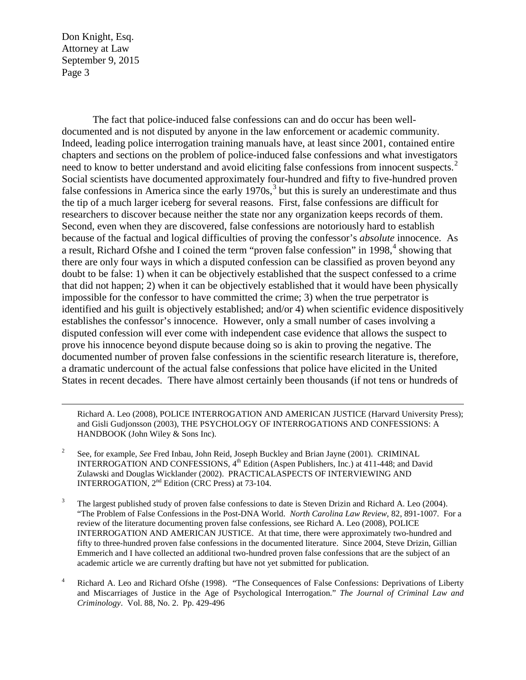$\overline{a}$ 

The fact that police-induced false confessions can and do occur has been welldocumented and is not disputed by anyone in the law enforcement or academic community. Indeed, leading police interrogation training manuals have, at least since 2001, contained entire chapters and sections on the problem of police-induced false confessions and what investigators need to know to better understand and avoid eliciting false confessions from innocent suspects.<sup>[2](#page-2-0)</sup> Social scientists have documented approximately four-hundred and fifty to five-hundred proven false confessions in America since the early  $1970s$ ,<sup>[3](#page-2-1)</sup> but this is surely an underestimate and thus the tip of a much larger iceberg for several reasons. First, false confessions are difficult for researchers to discover because neither the state nor any organization keeps records of them. Second, even when they are discovered, false confessions are notoriously hard to establish because of the factual and logical difficulties of proving the confessor's *absolute* innocence. As a result, Richard Ofshe and I coined the term "proven false confession" in 1998,<sup>[4](#page-2-2)</sup> showing that there are only four ways in which a disputed confession can be classified as proven beyond any doubt to be false: 1) when it can be objectively established that the suspect confessed to a crime that did not happen; 2) when it can be objectively established that it would have been physically impossible for the confessor to have committed the crime; 3) when the true perpetrator is identified and his guilt is objectively established; and/or 4) when scientific evidence dispositively establishes the confessor's innocence. However, only a small number of cases involving a disputed confession will ever come with independent case evidence that allows the suspect to prove his innocence beyond dispute because doing so is akin to proving the negative. The documented number of proven false confessions in the scientific research literature is, therefore, a dramatic undercount of the actual false confessions that police have elicited in the United States in recent decades. There have almost certainly been thousands (if not tens or hundreds of

Richard A. Leo (2008), POLICE INTERROGATION AND AMERICAN JUSTICE (Harvard University Press); and Gisli Gudjonsson (2003), THE PSYCHOLOGY OF INTERROGATIONS AND CONFESSIONS: A HANDBOOK (John Wiley & Sons Inc).

- <span id="page-2-0"></span><sup>2</sup> See, for example, *See* Fred Inbau, John Reid, Joseph Buckley and Brian Jayne (2001). CRIMINAL INTERROGATION AND CONFESSIONS,  $4<sup>th</sup>$  Edition (Aspen Publishers, Inc.) at 411-448; and David Zulawski and Douglas Wicklander (2002). PRACTICALASPECTS OF INTERVIEWING AND INTERROGATION, 2nd Edition (CRC Press) at 73-104.
- <span id="page-2-1"></span><sup>3</sup> The largest published study of proven false confessions to date is Steven Drizin and Richard A. Leo (2004). "The Problem of False Confessions in the Post-DNA World. *North Carolina Law Review*, 82, 891-1007*.* For a review of the literature documenting proven false confessions, see Richard A. Leo (2008), POLICE INTERROGATION AND AMERICAN JUSTICE. At that time, there were approximately two-hundred and fifty to three-hundred proven false confessions in the documented literature. Since 2004, Steve Drizin, Gillian Emmerich and I have collected an additional two-hundred proven false confessions that are the subject of an academic article we are currently drafting but have not yet submitted for publication.
- <span id="page-2-2"></span><sup>4</sup> Richard A. Leo and Richard Ofshe (1998). "The Consequences of False Confessions: Deprivations of Liberty and Miscarriages of Justice in the Age of Psychological Interrogation." *The Journal of Criminal Law and Criminology*. Vol. 88, No. 2. Pp. 429-496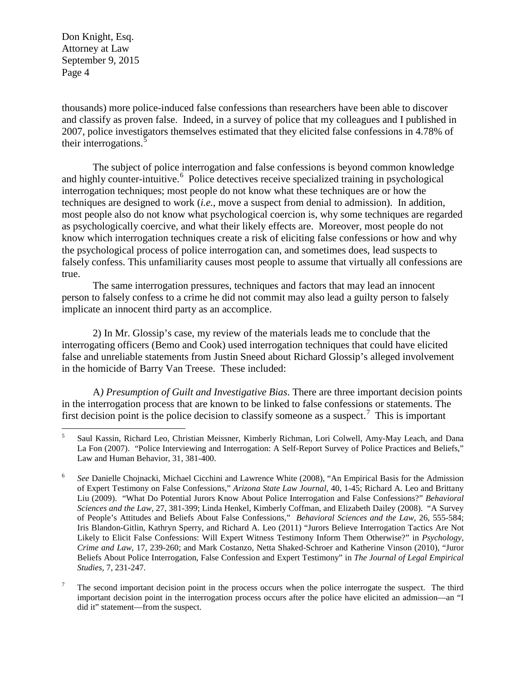thousands) more police-induced false confessions than researchers have been able to discover and classify as proven false. Indeed, in a survey of police that my colleagues and I published in 2007, police investigators themselves estimated that they elicited false confessions in 4.78% of their interrogations.<sup>[5](#page-3-0)</sup>

The subject of police interrogation and false confessions is beyond common knowledge and highly counter-intuitive.<sup>[6](#page-3-1)</sup> Police detectives receive specialized training in psychological interrogation techniques; most people do not know what these techniques are or how the techniques are designed to work (*i.e.*, move a suspect from denial to admission). In addition, most people also do not know what psychological coercion is, why some techniques are regarded as psychologically coercive, and what their likely effects are. Moreover, most people do not know which interrogation techniques create a risk of eliciting false confessions or how and why the psychological process of police interrogation can, and sometimes does, lead suspects to falsely confess. This unfamiliarity causes most people to assume that virtually all confessions are true.

The same interrogation pressures, techniques and factors that may lead an innocent person to falsely confess to a crime he did not commit may also lead a guilty person to falsely implicate an innocent third party as an accomplice.

2) In Mr. Glossip's case, my review of the materials leads me to conclude that the interrogating officers (Bemo and Cook) used interrogation techniques that could have elicited false and unreliable statements from Justin Sneed about Richard Glossip's alleged involvement in the homicide of Barry Van Treese. These included:

A*) Presumption of Guilt and Investigative Bias*. There are three important decision points in the interrogation process that are known to be linked to false confessions or statements. The first decision point is the police decision to classify someone as a suspect.<sup>[7](#page-3-2)</sup> This is important

<span id="page-3-0"></span> <sup>5</sup> Saul Kassin, Richard Leo, Christian Meissner, Kimberly Richman, Lori Colwell, Amy-May Leach, and Dana La Fon (2007). "Police Interviewing and Interrogation: A Self-Report Survey of Police Practices and Beliefs," Law and Human Behavior, 31, 381-400.

<span id="page-3-1"></span><sup>6</sup> *See* Danielle Chojnacki, Michael Cicchini and Lawrence White (2008), "An Empirical Basis for the Admission of Expert Testimony on False Confessions," *Arizona State Law Journal*, 40, 1-45; Richard A. Leo and Brittany Liu (2009). "What Do Potential Jurors Know About Police Interrogation and False Confessions?" *Behavioral Sciences and the Law*, 27, 381-399; Linda Henkel, Kimberly Coffman, and Elizabeth Dailey (2008). "A Survey of People's Attitudes and Beliefs About False Confessions," *Behavioral Sciences and the Law*, 26, 555-584; Iris Blandon-Gitlin, Kathryn Sperry, and Richard A. Leo (2011) "Jurors Believe Interrogation Tactics Are Not Likely to Elicit False Confessions: Will Expert Witness Testimony Inform Them Otherwise?" in *Psychology, Crime and Law*, 17, 239-260; and Mark Costanzo, Netta Shaked-Schroer and Katherine Vinson (2010), "Juror Beliefs About Police Interrogation, False Confession and Expert Testimony" in *The Journal of Legal Empirical Studies,* 7, 231-247.

<span id="page-3-2"></span> $<sup>7</sup>$  The second important decision point in the process occurs when the police interrogate the suspect. The third</sup> important decision point in the interrogation process occurs after the police have elicited an admission—an "I did it" statement—from the suspect.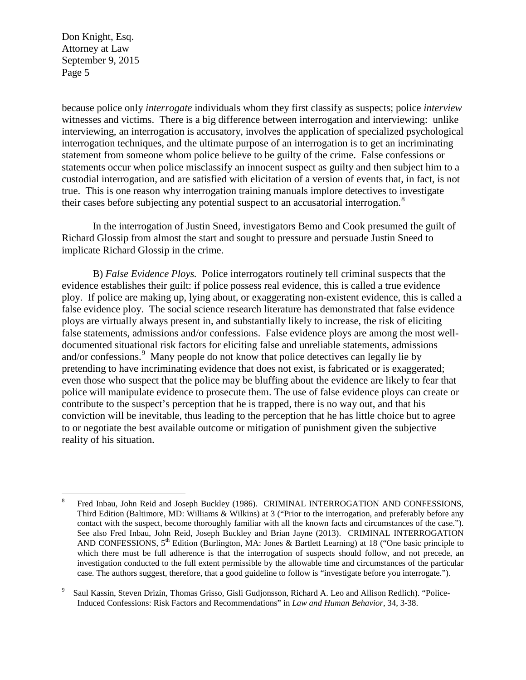because police only *interrogate* individuals whom they first classify as suspects; police *interview* witnesses and victims. There is a big difference between interrogation and interviewing: unlike interviewing, an interrogation is accusatory, involves the application of specialized psychological interrogation techniques, and the ultimate purpose of an interrogation is to get an incriminating statement from someone whom police believe to be guilty of the crime. False confessions or statements occur when police misclassify an innocent suspect as guilty and then subject him to a custodial interrogation, and are satisfied with elicitation of a version of events that, in fact, is not true. This is one reason why interrogation training manuals implore detectives to investigate their cases before subjecting any potential suspect to an accusatorial interrogation.<sup>[8](#page-4-0)</sup>

In the interrogation of Justin Sneed, investigators Bemo and Cook presumed the guilt of Richard Glossip from almost the start and sought to pressure and persuade Justin Sneed to implicate Richard Glossip in the crime.

B) *False Evidence Ploys.* Police interrogators routinely tell criminal suspects that the evidence establishes their guilt: if police possess real evidence, this is called a true evidence ploy. If police are making up, lying about, or exaggerating non-existent evidence, this is called a false evidence ploy. The social science research literature has demonstrated that false evidence ploys are virtually always present in, and substantially likely to increase, the risk of eliciting false statements, admissions and/or confessions. False evidence ploys are among the most welldocumented situational risk factors for eliciting false and unreliable statements, admissions and/or confessions.<sup>[9](#page-4-1)</sup> Many people do not know that police detectives can legally lie by pretending to have incriminating evidence that does not exist, is fabricated or is exaggerated; even those who suspect that the police may be bluffing about the evidence are likely to fear that police will manipulate evidence to prosecute them. The use of false evidence ploys can create or contribute to the suspect's perception that he is trapped, there is no way out, and that his conviction will be inevitable, thus leading to the perception that he has little choice but to agree to or negotiate the best available outcome or mitigation of punishment given the subjective reality of his situation.

<span id="page-4-0"></span> <sup>8</sup> Fred Inbau, John Reid and Joseph Buckley (1986). CRIMINAL INTERROGATION AND CONFESSIONS, Third Edition (Baltimore, MD: Williams & Wilkins) at 3 ("Prior to the interrogation, and preferably before any contact with the suspect, become thoroughly familiar with all the known facts and circumstances of the case."). See also Fred Inbau, John Reid, Joseph Buckley and Brian Jayne (2013). CRIMINAL INTERROGATION AND CONFESSIONS, 5<sup>th</sup> Edition (Burlington, MA: Jones & Bartlett Learning) at 18 ("One basic principle to which there must be full adherence is that the interrogation of suspects should follow, and not precede, an investigation conducted to the full extent permissible by the allowable time and circumstances of the particular case. The authors suggest, therefore, that a good guideline to follow is "investigate before you interrogate.").

<span id="page-4-1"></span><sup>9</sup> Saul Kassin, Steven Drizin, Thomas Grisso, Gisli Gudjonsson, Richard A. Leo and Allison Redlich). "Police-Induced Confessions: Risk Factors and Recommendations" in *Law and Human Behavior*, 34, 3-38.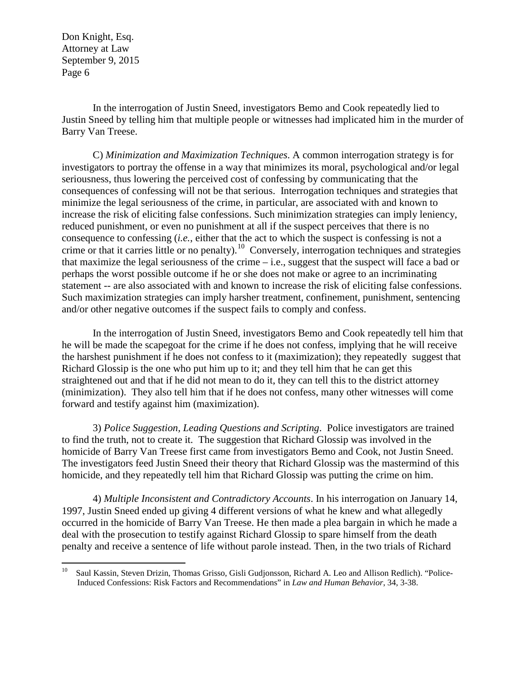In the interrogation of Justin Sneed, investigators Bemo and Cook repeatedly lied to Justin Sneed by telling him that multiple people or witnesses had implicated him in the murder of Barry Van Treese.

C) *Minimization and Maximization Techniques*. A common interrogation strategy is for investigators to portray the offense in a way that minimizes its moral, psychological and/or legal seriousness, thus lowering the perceived cost of confessing by communicating that the consequences of confessing will not be that serious. Interrogation techniques and strategies that minimize the legal seriousness of the crime, in particular, are associated with and known to increase the risk of eliciting false confessions. Such minimization strategies can imply leniency, reduced punishment, or even no punishment at all if the suspect perceives that there is no consequence to confessing (*i.e.*, either that the act to which the suspect is confessing is not a crime or that it carries little or no penalty).<sup>10</sup> Conversely, interrogation techniques and strategies that maximize the legal seriousness of the crime – i.e., suggest that the suspect will face a bad or perhaps the worst possible outcome if he or she does not make or agree to an incriminating statement -- are also associated with and known to increase the risk of eliciting false confessions. Such maximization strategies can imply harsher treatment, confinement, punishment, sentencing and/or other negative outcomes if the suspect fails to comply and confess.

In the interrogation of Justin Sneed, investigators Bemo and Cook repeatedly tell him that he will be made the scapegoat for the crime if he does not confess, implying that he will receive the harshest punishment if he does not confess to it (maximization); they repeatedly suggest that Richard Glossip is the one who put him up to it; and they tell him that he can get this straightened out and that if he did not mean to do it, they can tell this to the district attorney (minimization). They also tell him that if he does not confess, many other witnesses will come forward and testify against him (maximization).

3) *Police Suggestion, Leading Questions and Scripting*. Police investigators are trained to find the truth, not to create it. The suggestion that Richard Glossip was involved in the homicide of Barry Van Treese first came from investigators Bemo and Cook, not Justin Sneed. The investigators feed Justin Sneed their theory that Richard Glossip was the mastermind of this homicide, and they repeatedly tell him that Richard Glossip was putting the crime on him.

4) *Multiple Inconsistent and Contradictory Accounts*. In his interrogation on January 14, 1997, Justin Sneed ended up giving 4 different versions of what he knew and what allegedly occurred in the homicide of Barry Van Treese. He then made a plea bargain in which he made a deal with the prosecution to testify against Richard Glossip to spare himself from the death penalty and receive a sentence of life without parole instead. Then, in the two trials of Richard

<span id="page-5-0"></span><sup>&</sup>lt;sup>10</sup> Saul Kassin, Steven Drizin, Thomas Grisso, Gisli Gudjonsson, Richard A. Leo and Allison Redlich). "Police-Induced Confessions: Risk Factors and Recommendations" in *Law and Human Behavior*, 34, 3-38.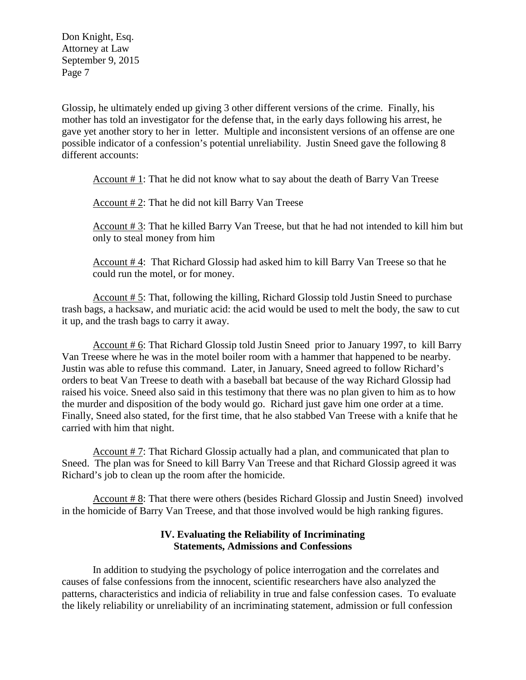Glossip, he ultimately ended up giving 3 other different versions of the crime. Finally, his mother has told an investigator for the defense that, in the early days following his arrest, he gave yet another story to her in letter. Multiple and inconsistent versions of an offense are one possible indicator of a confession's potential unreliability. Justin Sneed gave the following 8 different accounts:

Account # 1: That he did not know what to say about the death of Barry Van Treese

Account # 2: That he did not kill Barry Van Treese

Account # 3: That he killed Barry Van Treese, but that he had not intended to kill him but only to steal money from him

Account # 4: That Richard Glossip had asked him to kill Barry Van Treese so that he could run the motel, or for money.

Account # 5: That, following the killing, Richard Glossip told Justin Sneed to purchase trash bags, a hacksaw, and muriatic acid: the acid would be used to melt the body, the saw to cut it up, and the trash bags to carry it away.

Account # 6: That Richard Glossip told Justin Sneed prior to January 1997, to kill Barry Van Treese where he was in the motel boiler room with a hammer that happened to be nearby. Justin was able to refuse this command. Later, in January, Sneed agreed to follow Richard's orders to beat Van Treese to death with a baseball bat because of the way Richard Glossip had raised his voice. Sneed also said in this testimony that there was no plan given to him as to how the murder and disposition of the body would go. Richard just gave him one order at a time. Finally, Sneed also stated, for the first time, that he also stabbed Van Treese with a knife that he carried with him that night.

Account # 7: That Richard Glossip actually had a plan, and communicated that plan to Sneed. The plan was for Sneed to kill Barry Van Treese and that Richard Glossip agreed it was Richard's job to clean up the room after the homicide.

Account # 8: That there were others (besides Richard Glossip and Justin Sneed) involved in the homicide of Barry Van Treese, and that those involved would be high ranking figures.

### **IV. Evaluating the Reliability of Incriminating Statements, Admissions and Confessions**

In addition to studying the psychology of police interrogation and the correlates and causes of false confessions from the innocent, scientific researchers have also analyzed the patterns, characteristics and indicia of reliability in true and false confession cases. To evaluate the likely reliability or unreliability of an incriminating statement, admission or full confession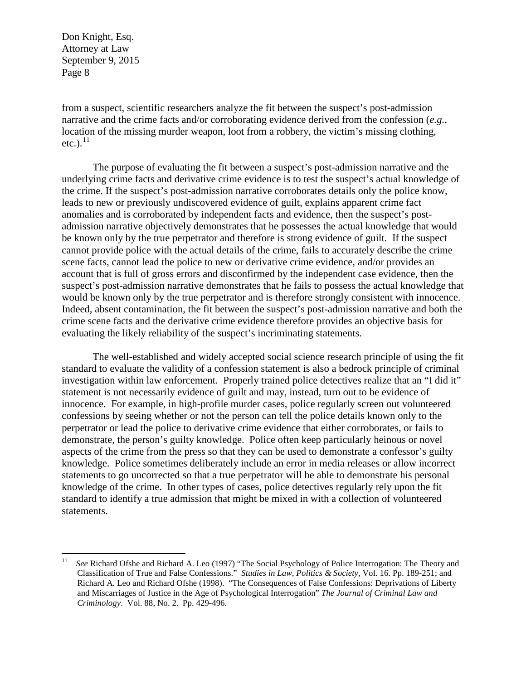from a suspect, scientific researchers analyze the fit between the suspect's post-admission narrative and the crime facts and/or corroborating evidence derived from the confession (*e.g.*, location of the missing murder weapon, loot from a robbery, the victim's missing clothing, etc.). $^{11}$  $^{11}$  $^{11}$ 

The purpose of evaluating the fit between a suspect's post-admission narrative and the underlying crime facts and derivative crime evidence is to test the suspect's actual knowledge of the crime. If the suspect's post-admission narrative corroborates details only the police know, leads to new or previously undiscovered evidence of guilt, explains apparent crime fact anomalies and is corroborated by independent facts and evidence, then the suspect's postadmission narrative objectively demonstrates that he possesses the actual knowledge that would be known only by the true perpetrator and therefore is strong evidence of guilt. If the suspect cannot provide police with the actual details of the crime, fails to accurately describe the crime scene facts, cannot lead the police to new or derivative crime evidence, and/or provides an account that is full of gross errors and disconfirmed by the independent case evidence, then the suspect's post-admission narrative demonstrates that he fails to possess the actual knowledge that would be known only by the true perpetrator and is therefore strongly consistent with innocence. Indeed, absent contamination, the fit between the suspect's post-admission narrative and both the crime scene facts and the derivative crime evidence therefore provides an objective basis for evaluating the likely reliability of the suspect's incriminating statements.

The well-established and widely accepted social science research principle of using the fit standard to evaluate the validity of a confession statement is also a bedrock principle of criminal investigation within law enforcement. Properly trained police detectives realize that an "I did it" statement is not necessarily evidence of guilt and may, instead, turn out to be evidence of innocence. For example, in high-profile murder cases, police regularly screen out volunteered confessions by seeing whether or not the person can tell the police details known only to the perpetrator or lead the police to derivative crime evidence that either corroborates, or fails to demonstrate, the person's guilty knowledge. Police often keep particularly heinous or novel aspects of the crime from the press so that they can be used to demonstrate a confessor's guilty knowledge. Police sometimes deliberately include an error in media releases or allow incorrect statements to go uncorrected so that a true perpetrator will be able to demonstrate his personal knowledge of the crime. In other types of cases, police detectives regularly rely upon the fit standard to identify a true admission that might be mixed in with a collection of volunteered statements.

<span id="page-7-0"></span><sup>&</sup>lt;sup>11</sup> *See* Richard Ofshe and Richard A. Leo (1997) "The Social Psychology of Police Interrogation: The Theory and Classification of True and False Confessions." *Studies in Law, Politics & Society*, Vol. 16. Pp. 189-251; and Richard A. Leo and Richard Ofshe (1998). "The Consequences of False Confessions: Deprivations of Liberty and Miscarriages of Justice in the Age of Psychological Interrogation" *The Journal of Criminal Law and Criminology*. Vol. 88, No. 2. Pp. 429-496.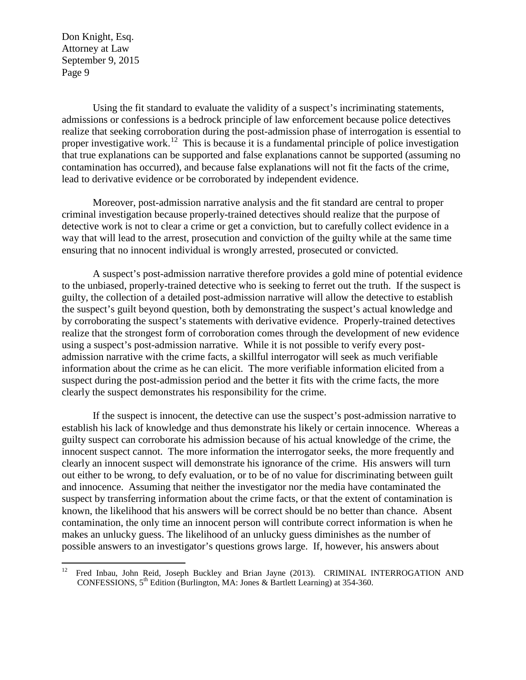Using the fit standard to evaluate the validity of a suspect's incriminating statements, admissions or confessions is a bedrock principle of law enforcement because police detectives realize that seeking corroboration during the post-admission phase of interrogation is essential to proper investigative work.<sup>[12](#page-8-0)</sup> This is because it is a fundamental principle of police investigation that true explanations can be supported and false explanations cannot be supported (assuming no contamination has occurred), and because false explanations will not fit the facts of the crime, lead to derivative evidence or be corroborated by independent evidence.

Moreover, post-admission narrative analysis and the fit standard are central to proper criminal investigation because properly-trained detectives should realize that the purpose of detective work is not to clear a crime or get a conviction, but to carefully collect evidence in a way that will lead to the arrest, prosecution and conviction of the guilty while at the same time ensuring that no innocent individual is wrongly arrested, prosecuted or convicted.

A suspect's post-admission narrative therefore provides a gold mine of potential evidence to the unbiased, properly-trained detective who is seeking to ferret out the truth. If the suspect is guilty, the collection of a detailed post-admission narrative will allow the detective to establish the suspect's guilt beyond question, both by demonstrating the suspect's actual knowledge and by corroborating the suspect's statements with derivative evidence. Properly-trained detectives realize that the strongest form of corroboration comes through the development of new evidence using a suspect's post-admission narrative. While it is not possible to verify every postadmission narrative with the crime facts, a skillful interrogator will seek as much verifiable information about the crime as he can elicit. The more verifiable information elicited from a suspect during the post-admission period and the better it fits with the crime facts, the more clearly the suspect demonstrates his responsibility for the crime.

If the suspect is innocent, the detective can use the suspect's post-admission narrative to establish his lack of knowledge and thus demonstrate his likely or certain innocence. Whereas a guilty suspect can corroborate his admission because of his actual knowledge of the crime, the innocent suspect cannot. The more information the interrogator seeks, the more frequently and clearly an innocent suspect will demonstrate his ignorance of the crime. His answers will turn out either to be wrong, to defy evaluation, or to be of no value for discriminating between guilt and innocence. Assuming that neither the investigator nor the media have contaminated the suspect by transferring information about the crime facts, or that the extent of contamination is known, the likelihood that his answers will be correct should be no better than chance. Absent contamination, the only time an innocent person will contribute correct information is when he makes an unlucky guess. The likelihood of an unlucky guess diminishes as the number of possible answers to an investigator's questions grows large. If, however, his answers about

<span id="page-8-0"></span><sup>&</sup>lt;sup>12</sup> Fred Inbau, John Reid, Joseph Buckley and Brian Jayne (2013). CRIMINAL INTERROGATION AND CONFESSIONS,  $5^{th}$  Edition (Burlington, MA: Jones & Bartlett Learning) at 354-360.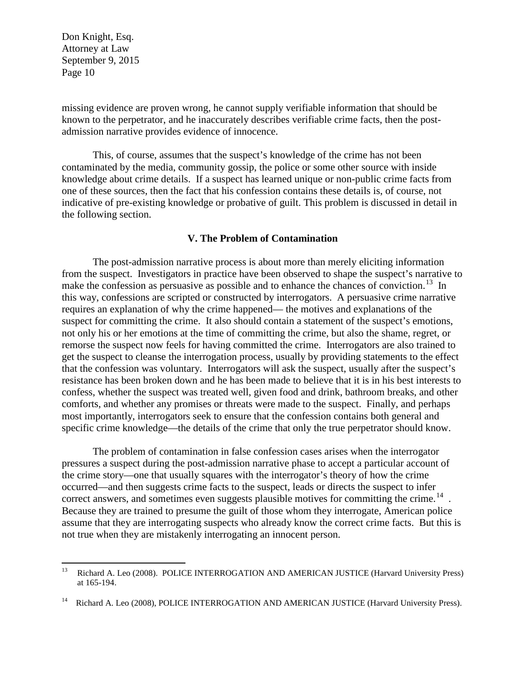missing evidence are proven wrong, he cannot supply verifiable information that should be known to the perpetrator, and he inaccurately describes verifiable crime facts, then the postadmission narrative provides evidence of innocence.

This, of course, assumes that the suspect's knowledge of the crime has not been contaminated by the media, community gossip, the police or some other source with inside knowledge about crime details. If a suspect has learned unique or non-public crime facts from one of these sources, then the fact that his confession contains these details is, of course, not indicative of pre-existing knowledge or probative of guilt. This problem is discussed in detail in the following section.

### **V. The Problem of Contamination**

The post-admission narrative process is about more than merely eliciting information from the suspect. Investigators in practice have been observed to shape the suspect's narrative to make the confession as persuasive as possible and to enhance the chances of conviction.<sup>[13](#page-9-0)</sup> In this way, confessions are scripted or constructed by interrogators. A persuasive crime narrative requires an explanation of why the crime happened— the motives and explanations of the suspect for committing the crime. It also should contain a statement of the suspect's emotions, not only his or her emotions at the time of committing the crime, but also the shame, regret, or remorse the suspect now feels for having committed the crime. Interrogators are also trained to get the suspect to cleanse the interrogation process, usually by providing statements to the effect that the confession was voluntary. Interrogators will ask the suspect, usually after the suspect's resistance has been broken down and he has been made to believe that it is in his best interests to confess, whether the suspect was treated well, given food and drink, bathroom breaks, and other comforts, and whether any promises or threats were made to the suspect. Finally, and perhaps most importantly, interrogators seek to ensure that the confession contains both general and specific crime knowledge—the details of the crime that only the true perpetrator should know.

The problem of contamination in false confession cases arises when the interrogator pressures a suspect during the post-admission narrative phase to accept a particular account of the crime story—one that usually squares with the interrogator's theory of how the crime occurred—and then suggests crime facts to the suspect, leads or directs the suspect to infer correct answers, and sometimes even suggests plausible motives for committing the crime.<sup>[14](#page-9-1)</sup> Because they are trained to presume the guilt of those whom they interrogate, American police assume that they are interrogating suspects who already know the correct crime facts. But this is not true when they are mistakenly interrogating an innocent person.

<span id="page-9-0"></span><sup>&</sup>lt;sup>13</sup> Richard A. Leo (2008). POLICE INTERROGATION AND AMERICAN JUSTICE (Harvard University Press) at 165-194.

<span id="page-9-1"></span><sup>&</sup>lt;sup>14</sup> Richard A. Leo (2008), POLICE INTERROGATION AND AMERICAN JUSTICE (Harvard University Press).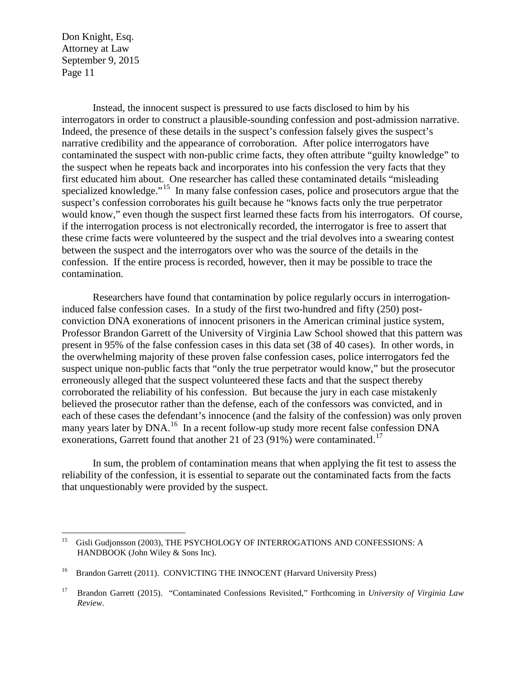Instead, the innocent suspect is pressured to use facts disclosed to him by his interrogators in order to construct a plausible-sounding confession and post-admission narrative. Indeed, the presence of these details in the suspect's confession falsely gives the suspect's narrative credibility and the appearance of corroboration. After police interrogators have contaminated the suspect with non-public crime facts, they often attribute "guilty knowledge" to the suspect when he repeats back and incorporates into his confession the very facts that they first educated him about. One researcher has called these contaminated details "misleading specialized knowledge."<sup>[15](#page-10-0)</sup> In many false confession cases, police and prosecutors argue that the suspect's confession corroborates his guilt because he "knows facts only the true perpetrator would know," even though the suspect first learned these facts from his interrogators. Of course, if the interrogation process is not electronically recorded, the interrogator is free to assert that these crime facts were volunteered by the suspect and the trial devolves into a swearing contest between the suspect and the interrogators over who was the source of the details in the confession. If the entire process is recorded, however, then it may be possible to trace the contamination.

Researchers have found that contamination by police regularly occurs in interrogationinduced false confession cases. In a study of the first two-hundred and fifty (250) postconviction DNA exonerations of innocent prisoners in the American criminal justice system, Professor Brandon Garrett of the University of Virginia Law School showed that this pattern was present in 95% of the false confession cases in this data set (38 of 40 cases). In other words, in the overwhelming majority of these proven false confession cases, police interrogators fed the suspect unique non-public facts that "only the true perpetrator would know," but the prosecutor erroneously alleged that the suspect volunteered these facts and that the suspect thereby corroborated the reliability of his confession. But because the jury in each case mistakenly believed the prosecutor rather than the defense, each of the confessors was convicted, and in each of these cases the defendant's innocence (and the falsity of the confession) was only proven many years later by DNA.<sup>16</sup> In a recent follow-up study more recent false confession DNA exonerations, Garrett found that another 21 of 23 (91%) were contaminated.<sup>[17](#page-10-2)</sup>

In sum, the problem of contamination means that when applying the fit test to assess the reliability of the confession, it is essential to separate out the contaminated facts from the facts that unquestionably were provided by the suspect.

<span id="page-10-0"></span><sup>&</sup>lt;sup>15</sup> Gisli Gudjonsson (2003), THE PSYCHOLOGY OF INTERROGATIONS AND CONFESSIONS: A HANDBOOK (John Wiley & Sons Inc).

<span id="page-10-1"></span><sup>&</sup>lt;sup>16</sup> Brandon Garrett (2011). CONVICTING THE INNOCENT (Harvard University Press)

<span id="page-10-2"></span><sup>17</sup> Brandon Garrett (2015). "Contaminated Confessions Revisited," Forthcoming in *University of Virginia Law Review*.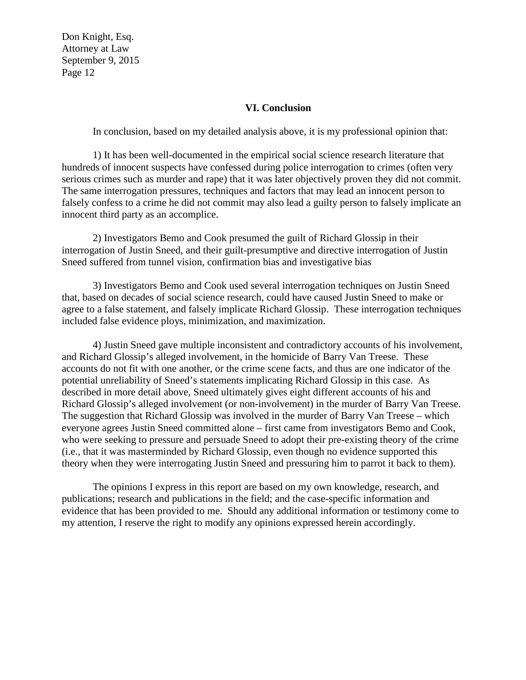### **VI. Conclusion**

In conclusion, based on my detailed analysis above, it is my professional opinion that:

1) It has been well-documented in the empirical social science research literature that hundreds of innocent suspects have confessed during police interrogation to crimes (often very serious crimes such as murder and rape) that it was later objectively proven they did not commit. The same interrogation pressures, techniques and factors that may lead an innocent person to falsely confess to a crime he did not commit may also lead a guilty person to falsely implicate an innocent third party as an accomplice.

2) Investigators Bemo and Cook presumed the guilt of Richard Glossip in their interrogation of Justin Sneed, and their guilt-presumptive and directive interrogation of Justin Sneed suffered from tunnel vision, confirmation bias and investigative bias

3) Investigators Bemo and Cook used several interrogation techniques on Justin Sneed that, based on decades of social science research, could have caused Justin Sneed to make or agree to a false statement, and falsely implicate Richard Glossip. These interrogation techniques included false evidence ploys, minimization, and maximization.

4) Justin Sneed gave multiple inconsistent and contradictory accounts of his involvement, and Richard Glossip's alleged involvement, in the homicide of Barry Van Treese. These accounts do not fit with one another, or the crime scene facts, and thus are one indicator of the potential unreliability of Sneed's statements implicating Richard Glossip in this case. As described in more detail above, Sneed ultimately gives eight different accounts of his and Richard Glossip's alleged involvement (or non-involvement) in the murder of Barry Van Treese. The suggestion that Richard Glossip was involved in the murder of Barry Van Treese – which everyone agrees Justin Sneed committed alone – first came from investigators Bemo and Cook, who were seeking to pressure and persuade Sneed to adopt their pre-existing theory of the crime (i.e., that it was masterminded by Richard Glossip, even though no evidence supported this theory when they were interrogating Justin Sneed and pressuring him to parrot it back to them).

The opinions I express in this report are based on my own knowledge, research, and publications; research and publications in the field; and the case-specific information and evidence that has been provided to me. Should any additional information or testimony come to my attention, I reserve the right to modify any opinions expressed herein accordingly.